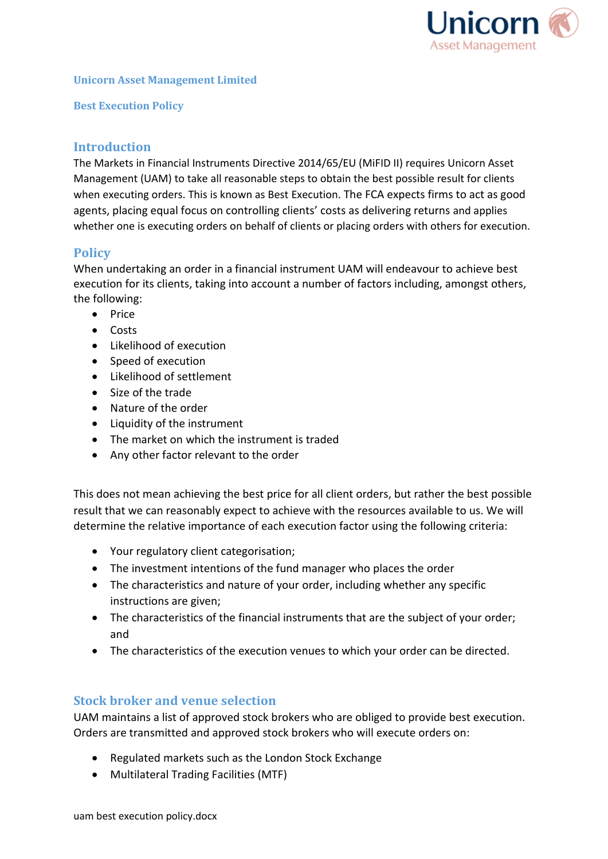

#### **Unicorn Asset Management Limited**

**Best Execution Policy**

## **Introduction**

The Markets in Financial Instruments Directive 2014/65/EU (MiFID II) requires Unicorn Asset Management (UAM) to take all reasonable steps to obtain the best possible result for clients when executing orders. This is known as Best Execution. The FCA expects firms to act as good agents, placing equal focus on controlling clients' costs as delivering returns and applies whether one is executing orders on behalf of clients or placing orders with others for execution.

## **Policy**

When undertaking an order in a financial instrument UAM will endeavour to achieve best execution for its clients, taking into account a number of factors including, amongst others, the following:

- Price
- Costs
- Likelihood of execution
- Speed of execution
- Likelihood of settlement
- Size of the trade
- Nature of the order
- Liquidity of the instrument
- The market on which the instrument is traded
- Any other factor relevant to the order

This does not mean achieving the best price for all client orders, but rather the best possible result that we can reasonably expect to achieve with the resources available to us. We will determine the relative importance of each execution factor using the following criteria:

- Your regulatory client categorisation;
- The investment intentions of the fund manager who places the order
- The characteristics and nature of your order, including whether any specific instructions are given;
- The characteristics of the financial instruments that are the subject of your order; and
- The characteristics of the execution venues to which your order can be directed.

### **Stock broker and venue selection**

UAM maintains a list of approved stock brokers who are obliged to provide best execution. Orders are transmitted and approved stock brokers who will execute orders on:

- Regulated markets such as the London Stock Exchange
- Multilateral Trading Facilities (MTF)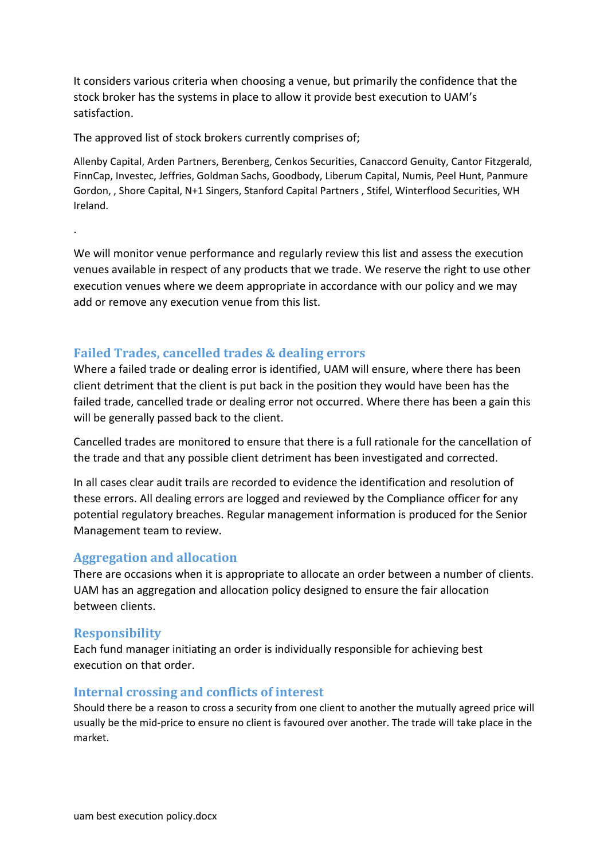It considers various criteria when choosing a venue, but primarily the confidence that the stock broker has the systems in place to allow it provide best execution to UAM's satisfaction.

The approved list of stock brokers currently comprises of;

Allenby Capital, Arden Partners, Berenberg, Cenkos Securities, Canaccord Genuity, Cantor Fitzgerald, FinnCap, Investec, Jeffries, Goldman Sachs, Goodbody, Liberum Capital, Numis, Peel Hunt, Panmure Gordon, , Shore Capital, N+1 Singers, Stanford Capital Partners , Stifel, Winterflood Securities, WH Ireland.

We will monitor venue performance and regularly review this list and assess the execution venues available in respect of any products that we trade. We reserve the right to use other execution venues where we deem appropriate in accordance with our policy and we may add or remove any execution venue from this list.

### **Failed Trades, cancelled trades & dealing errors**

Where a failed trade or dealing error is identified, UAM will ensure, where there has been client detriment that the client is put back in the position they would have been has the failed trade, cancelled trade or dealing error not occurred. Where there has been a gain this will be generally passed back to the client.

Cancelled trades are monitored to ensure that there is a full rationale for the cancellation of the trade and that any possible client detriment has been investigated and corrected.

In all cases clear audit trails are recorded to evidence the identification and resolution of these errors. All dealing errors are logged and reviewed by the Compliance officer for any potential regulatory breaches. Regular management information is produced for the Senior Management team to review.

### **Aggregation and allocation**

There are occasions when it is appropriate to allocate an order between a number of clients. UAM has an aggregation and allocation policy designed to ensure the fair allocation between clients.

#### **Responsibility**

.

Each fund manager initiating an order is individually responsible for achieving best execution on that order.

#### **Internal crossing and conflicts of interest**

Should there be a reason to cross a security from one client to another the mutually agreed price will usually be the mid-price to ensure no client is favoured over another. The trade will take place in the market.